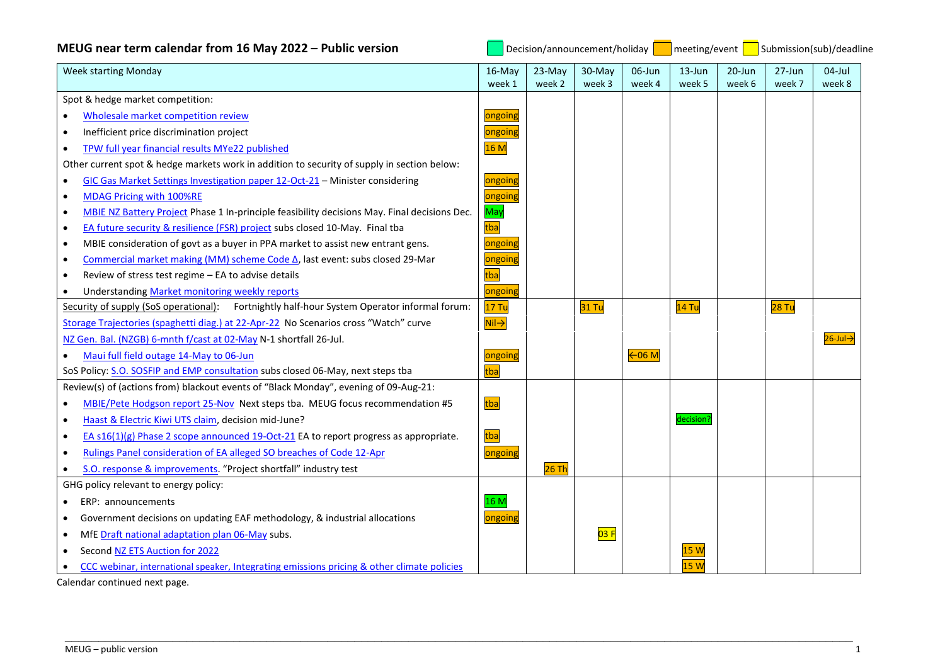| MEUG near term calendar from 16 May 2022 – Public version                                                 | Decision/announcement/holiday        |                  |                  |                  | meeting/event<br>Submission(sub)/deadline |                      |                      |                         |
|-----------------------------------------------------------------------------------------------------------|--------------------------------------|------------------|------------------|------------------|-------------------------------------------|----------------------|----------------------|-------------------------|
| <b>Week starting Monday</b>                                                                               | $16$ -May<br>week 1                  | 23-May<br>week 2 | 30-May<br>week 3 | 06-Jun<br>week 4 | $13 - Jun$<br>week 5                      | $20 - Jun$<br>week 6 | $27 - Jun$<br>week 7 | $04$ -Jul<br>week 8     |
| Spot & hedge market competition:                                                                          |                                      |                  |                  |                  |                                           |                      |                      |                         |
| Wholesale market competition review                                                                       | ongoing                              |                  |                  |                  |                                           |                      |                      |                         |
| Inefficient price discrimination project<br>$\bullet$                                                     | ongoing                              |                  |                  |                  |                                           |                      |                      |                         |
| TPW full year financial results MYe22 published<br>$\bullet$                                              | 16 M                                 |                  |                  |                  |                                           |                      |                      |                         |
| Other current spot & hedge markets work in addition to security of supply in section below:               |                                      |                  |                  |                  |                                           |                      |                      |                         |
| GIC Gas Market Settings Investigation paper 12-Oct-21 - Minister considering                              | ongoing                              |                  |                  |                  |                                           |                      |                      |                         |
| MDAG Pricing with 100%RE                                                                                  | ongoing                              |                  |                  |                  |                                           |                      |                      |                         |
| MBIE NZ Battery Project Phase 1 In-principle feasibility decisions May. Final decisions Dec.<br>$\bullet$ | May                                  |                  |                  |                  |                                           |                      |                      |                         |
| EA future security & resilience (FSR) project subs closed 10-May. Final tba<br>$\bullet$                  | tba                                  |                  |                  |                  |                                           |                      |                      |                         |
| MBIE consideration of govt as a buyer in PPA market to assist new entrant gens.<br>$\bullet$              | <mark>ongoing</mark>                 |                  |                  |                  |                                           |                      |                      |                         |
| Commercial market making (MM) scheme Code △, last event: subs closed 29-Mar<br>$\bullet$                  | ongoing                              |                  |                  |                  |                                           |                      |                      |                         |
| Review of stress test regime - EA to advise details<br>$\bullet$                                          | tba                                  |                  |                  |                  |                                           |                      |                      |                         |
| Understanding Market monitoring weekly reports                                                            | ongoing                              |                  |                  |                  |                                           |                      |                      |                         |
| Security of supply (SoS operational): Fortnightly half-hour System Operator informal forum:               | 17 Tu                                |                  | <b>31 Tu</b>     |                  | $14$ Tu                                   |                      | 28 Tu                |                         |
| Storage Trajectories (spaghetti diag.) at 22-Apr-22 No Scenarios cross "Watch" curve                      | $\overline{\mathsf{Nil}\rightarrow}$ |                  |                  |                  |                                           |                      |                      |                         |
| NZ Gen. Bal. (NZGB) 6-mnth f/cast at 02-May N-1 shortfall 26-Jul.                                         |                                      |                  |                  |                  |                                           |                      |                      | $26$ -Jul $\rightarrow$ |
| Maui full field outage 14-May to 06-Jun                                                                   | ongoing                              |                  |                  | 606 M            |                                           |                      |                      |                         |
| SoS Policy: S.O. SOSFIP and EMP consultation subs closed 06-May, next steps tba                           | tba                                  |                  |                  |                  |                                           |                      |                      |                         |
| Review(s) of (actions from) blackout events of "Black Monday", evening of 09-Aug-21:                      |                                      |                  |                  |                  |                                           |                      |                      |                         |
| MBIE/Pete Hodgson report 25-Nov Next steps tba. MEUG focus recommendation #5                              | tba                                  |                  |                  |                  |                                           |                      |                      |                         |
| Haast & Electric Kiwi UTS claim, decision mid-June?<br>$\bullet$                                          |                                      |                  |                  |                  | decision?                                 |                      |                      |                         |
| EA s16(1)(g) Phase 2 scope announced 19-Oct-21 EA to report progress as appropriate.<br>$\bullet$         | tba                                  |                  |                  |                  |                                           |                      |                      |                         |
| Rulings Panel consideration of EA alleged SO breaches of Code 12-Apr<br>$\bullet$                         | ongoing                              |                  |                  |                  |                                           |                      |                      |                         |
| S.O. response & improvements. "Project shortfall" industry test                                           |                                      | 26 Th            |                  |                  |                                           |                      |                      |                         |
| GHG policy relevant to energy policy:                                                                     |                                      |                  |                  |                  |                                           |                      |                      |                         |
| ERP: announcements                                                                                        | 16 M                                 |                  |                  |                  |                                           |                      |                      |                         |
| Government decisions on updating EAF methodology, & industrial allocations                                | ongoing                              |                  |                  |                  |                                           |                      |                      |                         |
| MfE Draft national adaptation plan 06-May subs.<br>$\bullet$                                              |                                      |                  | 03 F             |                  |                                           |                      |                      |                         |
| Second NZ ETS Auction for 2022                                                                            |                                      |                  |                  |                  | 15W                                       |                      |                      |                         |
| CCC webinar, international speaker, Integrating emissions pricing & other climate policies                |                                      |                  |                  |                  | 15W                                       |                      |                      |                         |

\_\_\_\_\_\_\_\_\_\_\_\_\_\_\_\_\_\_\_\_\_\_\_\_\_\_\_\_\_\_\_\_\_\_\_\_\_\_\_\_\_\_\_\_\_\_\_\_\_\_\_\_\_\_\_\_\_\_\_\_\_\_\_\_\_\_\_\_\_\_\_\_\_\_\_\_\_\_\_\_\_\_\_\_\_\_\_\_\_\_\_\_\_\_\_\_\_\_\_\_\_\_\_\_\_\_\_\_\_\_\_\_\_\_\_\_\_

Calendar continued next page.